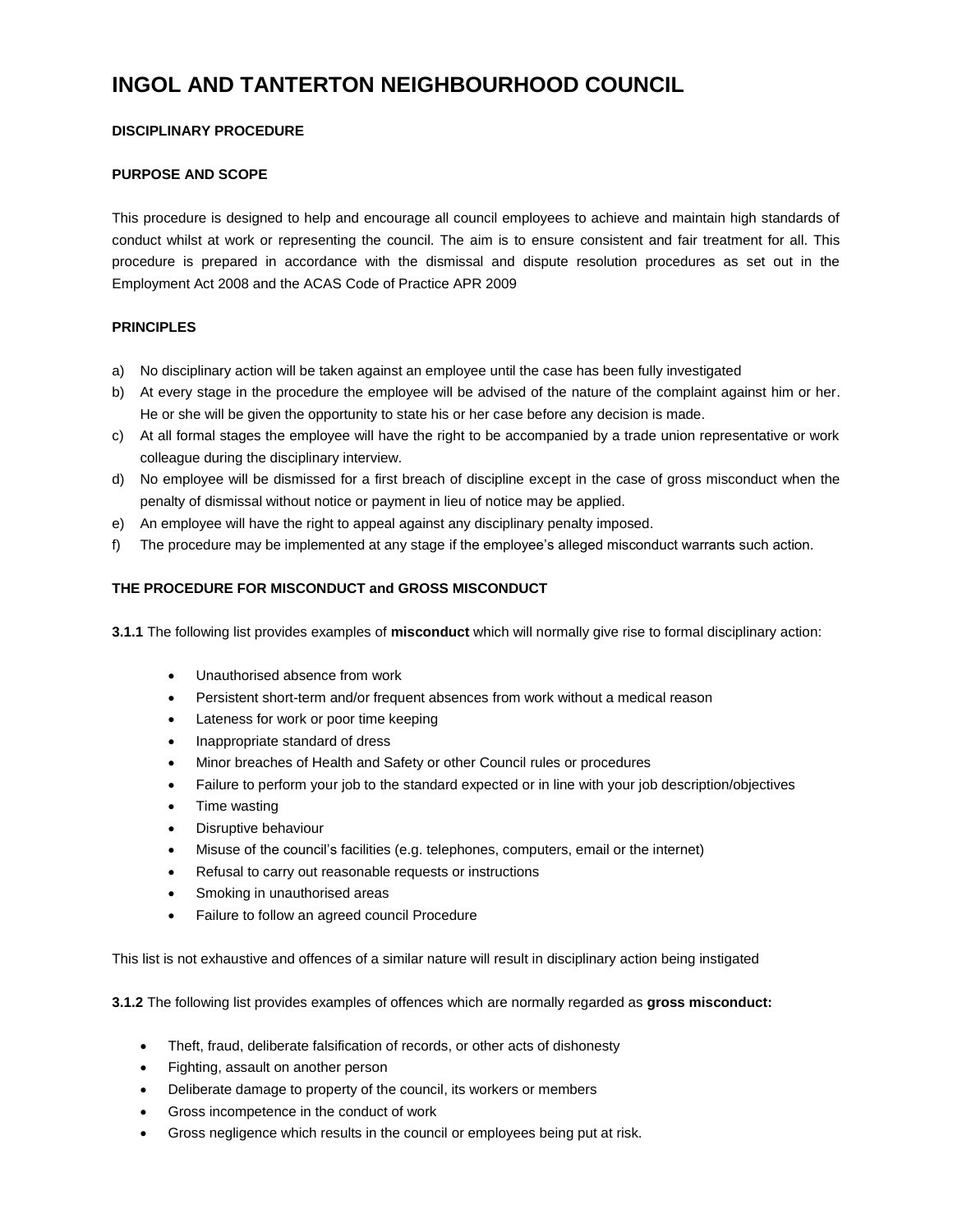# **INGOL AND TANTERTON NEIGHBOURHOOD COUNCIL**

# **DISCIPLINARY PROCEDURE**

# **PURPOSE AND SCOPE**

This procedure is designed to help and encourage all council employees to achieve and maintain high standards of conduct whilst at work or representing the council. The aim is to ensure consistent and fair treatment for all. This procedure is prepared in accordance with the dismissal and dispute resolution procedures as set out in the Employment Act 2008 and the ACAS Code of Practice APR 2009

# **PRINCIPLES**

- a) No disciplinary action will be taken against an employee until the case has been fully investigated
- b) At every stage in the procedure the employee will be advised of the nature of the complaint against him or her. He or she will be given the opportunity to state his or her case before any decision is made.
- c) At all formal stages the employee will have the right to be accompanied by a trade union representative or work colleague during the disciplinary interview.
- d) No employee will be dismissed for a first breach of discipline except in the case of gross misconduct when the penalty of dismissal without notice or payment in lieu of notice may be applied.
- e) An employee will have the right to appeal against any disciplinary penalty imposed.
- f) The procedure may be implemented at any stage if the employee's alleged misconduct warrants such action.

# **THE PROCEDURE FOR MISCONDUCT and GROSS MISCONDUCT**

**3.1.1** The following list provides examples of **misconduct** which will normally give rise to formal disciplinary action:

- Unauthorised absence from work
- Persistent short-term and/or frequent absences from work without a medical reason
- Lateness for work or poor time keeping
- Inappropriate standard of dress
- Minor breaches of Health and Safety or other Council rules or procedures
- Failure to perform your job to the standard expected or in line with your job description/objectives
- Time wasting
- Disruptive behaviour
- Misuse of the council's facilities (e.g. telephones, computers, email or the internet)
- Refusal to carry out reasonable requests or instructions
- Smoking in unauthorised areas
- Failure to follow an agreed council Procedure

This list is not exhaustive and offences of a similar nature will result in disciplinary action being instigated

**3.1.2** The following list provides examples of offences which are normally regarded as **gross misconduct:**

- Theft, fraud, deliberate falsification of records, or other acts of dishonesty
- Fighting, assault on another person
- Deliberate damage to property of the council, its workers or members
- Gross incompetence in the conduct of work
- Gross negligence which results in the council or employees being put at risk.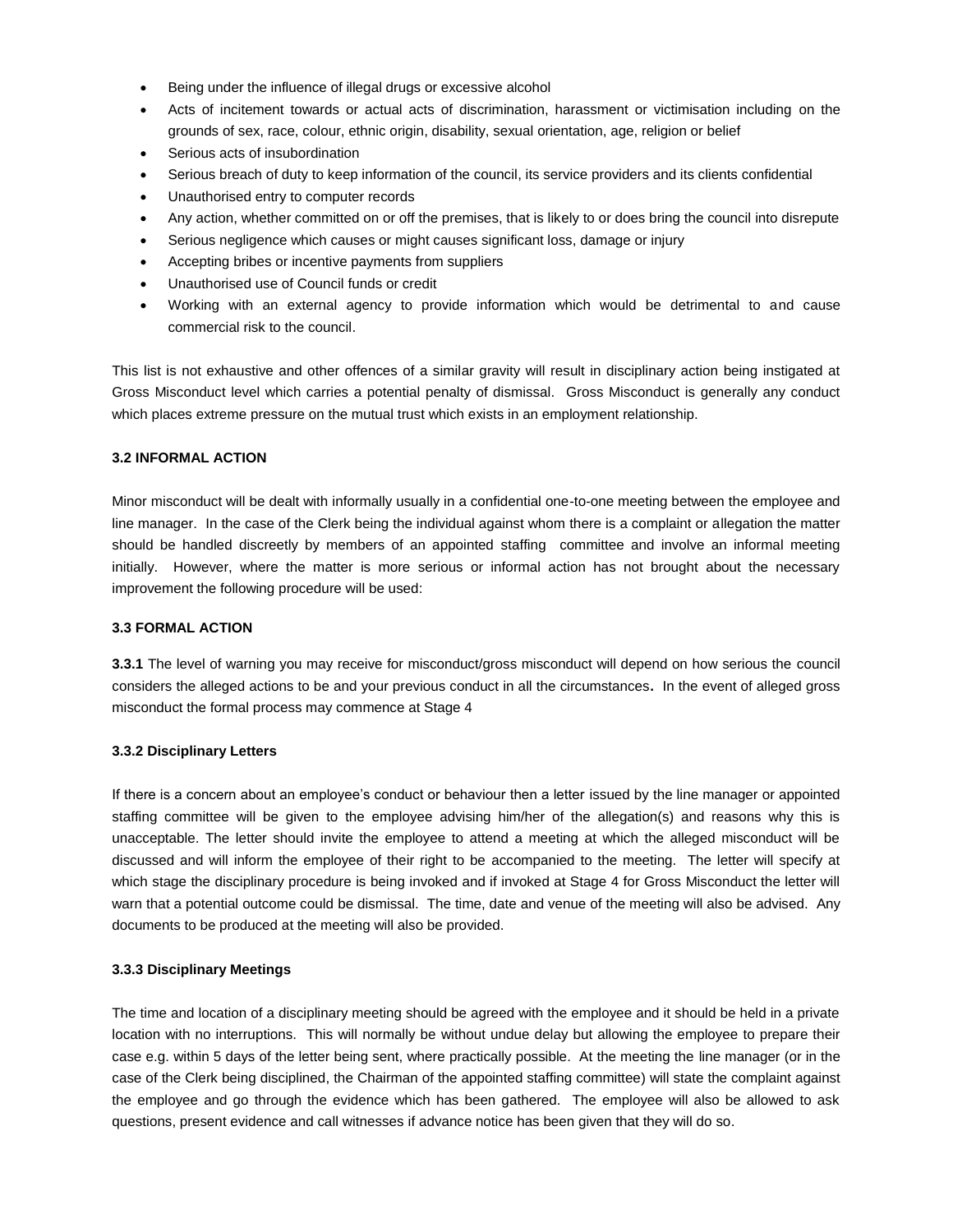- Being under the influence of illegal drugs or excessive alcohol
- Acts of incitement towards or actual acts of discrimination, harassment or victimisation including on the grounds of sex, race, colour, ethnic origin, disability, sexual orientation, age, religion or belief
- Serious acts of insubordination
- Serious breach of duty to keep information of the council, its service providers and its clients confidential
- Unauthorised entry to computer records
- Any action, whether committed on or off the premises, that is likely to or does bring the council into disrepute
- Serious negligence which causes or might causes significant loss, damage or injury
- Accepting bribes or incentive payments from suppliers
- Unauthorised use of Council funds or credit
- Working with an external agency to provide information which would be detrimental to and cause commercial risk to the council.

This list is not exhaustive and other offences of a similar gravity will result in disciplinary action being instigated at Gross Misconduct level which carries a potential penalty of dismissal. Gross Misconduct is generally any conduct which places extreme pressure on the mutual trust which exists in an employment relationship.

# **3.2 INFORMAL ACTION**

Minor misconduct will be dealt with informally usually in a confidential one-to-one meeting between the employee and line manager. In the case of the Clerk being the individual against whom there is a complaint or allegation the matter should be handled discreetly by members of an appointed staffing committee and involve an informal meeting initially. However, where the matter is more serious or informal action has not brought about the necessary improvement the following procedure will be used:

# **3.3 FORMAL ACTION**

**3.3.1** The level of warning you may receive for misconduct/gross misconduct will depend on how serious the council considers the alleged actions to be and your previous conduct in all the circumstances**.** In the event of alleged gross misconduct the formal process may commence at Stage 4

# **3.3.2 Disciplinary Letters**

If there is a concern about an employee's conduct or behaviour then a letter issued by the line manager or appointed staffing committee will be given to the employee advising him/her of the allegation(s) and reasons why this is unacceptable. The letter should invite the employee to attend a meeting at which the alleged misconduct will be discussed and will inform the employee of their right to be accompanied to the meeting. The letter will specify at which stage the disciplinary procedure is being invoked and if invoked at Stage 4 for Gross Misconduct the letter will warn that a potential outcome could be dismissal. The time, date and venue of the meeting will also be advised. Any documents to be produced at the meeting will also be provided.

# **3.3.3 Disciplinary Meetings**

The time and location of a disciplinary meeting should be agreed with the employee and it should be held in a private location with no interruptions. This will normally be without undue delay but allowing the employee to prepare their case e.g. within 5 days of the letter being sent, where practically possible. At the meeting the line manager (or in the case of the Clerk being disciplined, the Chairman of the appointed staffing committee) will state the complaint against the employee and go through the evidence which has been gathered. The employee will also be allowed to ask questions, present evidence and call witnesses if advance notice has been given that they will do so.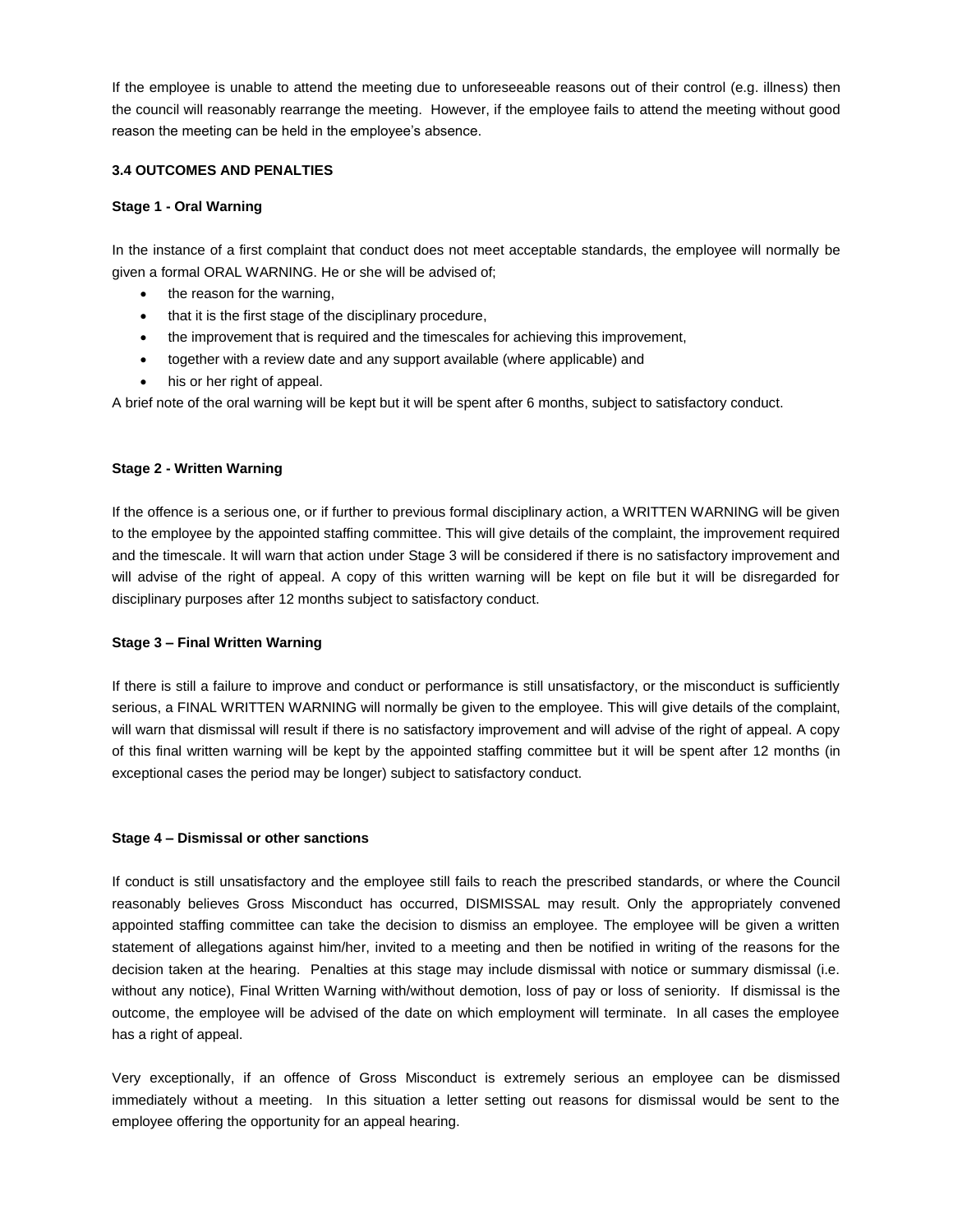If the employee is unable to attend the meeting due to unforeseeable reasons out of their control (e.g. illness) then the council will reasonably rearrange the meeting. However, if the employee fails to attend the meeting without good reason the meeting can be held in the employee's absence.

## **3.4 OUTCOMES AND PENALTIES**

## **Stage 1 - Oral Warning**

In the instance of a first complaint that conduct does not meet acceptable standards, the employee will normally be given a formal ORAL WARNING. He or she will be advised of;

- the reason for the warning,
- that it is the first stage of the disciplinary procedure,
- the improvement that is required and the timescales for achieving this improvement,
- together with a review date and any support available (where applicable) and
- his or her right of appeal.

A brief note of the oral warning will be kept but it will be spent after 6 months, subject to satisfactory conduct.

## **Stage 2 - Written Warning**

If the offence is a serious one, or if further to previous formal disciplinary action, a WRITTEN WARNING will be given to the employee by the appointed staffing committee. This will give details of the complaint, the improvement required and the timescale. It will warn that action under Stage 3 will be considered if there is no satisfactory improvement and will advise of the right of appeal. A copy of this written warning will be kept on file but it will be disregarded for disciplinary purposes after 12 months subject to satisfactory conduct.

## **Stage 3 – Final Written Warning**

If there is still a failure to improve and conduct or performance is still unsatisfactory, or the misconduct is sufficiently serious, a FINAL WRITTEN WARNING will normally be given to the employee. This will give details of the complaint, will warn that dismissal will result if there is no satisfactory improvement and will advise of the right of appeal. A copy of this final written warning will be kept by the appointed staffing committee but it will be spent after 12 months (in exceptional cases the period may be longer) subject to satisfactory conduct.

## **Stage 4 – Dismissal or other sanctions**

If conduct is still unsatisfactory and the employee still fails to reach the prescribed standards, or where the Council reasonably believes Gross Misconduct has occurred, DISMISSAL may result. Only the appropriately convened appointed staffing committee can take the decision to dismiss an employee. The employee will be given a written statement of allegations against him/her, invited to a meeting and then be notified in writing of the reasons for the decision taken at the hearing. Penalties at this stage may include dismissal with notice or summary dismissal (i.e. without any notice), Final Written Warning with/without demotion, loss of pay or loss of seniority. If dismissal is the outcome, the employee will be advised of the date on which employment will terminate. In all cases the employee has a right of appeal.

Very exceptionally, if an offence of Gross Misconduct is extremely serious an employee can be dismissed immediately without a meeting. In this situation a letter setting out reasons for dismissal would be sent to the employee offering the opportunity for an appeal hearing.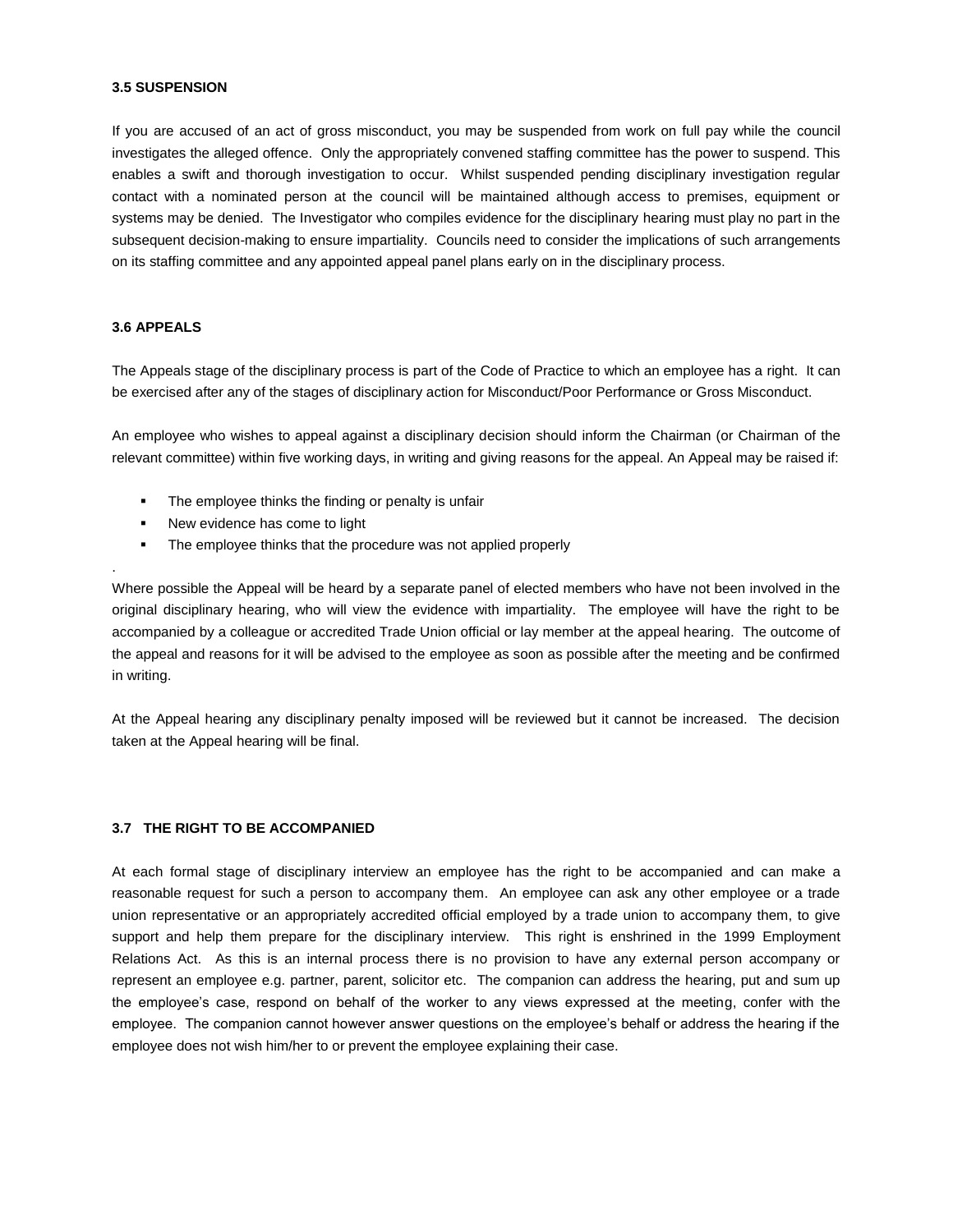#### **3.5 SUSPENSION**

If you are accused of an act of gross misconduct, you may be suspended from work on full pay while the council investigates the alleged offence. Only the appropriately convened staffing committee has the power to suspend. This enables a swift and thorough investigation to occur. Whilst suspended pending disciplinary investigation regular contact with a nominated person at the council will be maintained although access to premises, equipment or systems may be denied. The Investigator who compiles evidence for the disciplinary hearing must play no part in the subsequent decision-making to ensure impartiality. Councils need to consider the implications of such arrangements on its staffing committee and any appointed appeal panel plans early on in the disciplinary process.

#### **3.6 APPEALS**

.

The Appeals stage of the disciplinary process is part of the Code of Practice to which an employee has a right. It can be exercised after any of the stages of disciplinary action for Misconduct/Poor Performance or Gross Misconduct.

An employee who wishes to appeal against a disciplinary decision should inform the Chairman (or Chairman of the relevant committee) within five working days, in writing and giving reasons for the appeal. An Appeal may be raised if:

- The employee thinks the finding or penalty is unfair
- New evidence has come to light
- The employee thinks that the procedure was not applied properly

Where possible the Appeal will be heard by a separate panel of elected members who have not been involved in the original disciplinary hearing, who will view the evidence with impartiality. The employee will have the right to be accompanied by a colleague or accredited Trade Union official or lay member at the appeal hearing. The outcome of the appeal and reasons for it will be advised to the employee as soon as possible after the meeting and be confirmed in writing.

At the Appeal hearing any disciplinary penalty imposed will be reviewed but it cannot be increased. The decision taken at the Appeal hearing will be final.

## **3.7 THE RIGHT TO BE ACCOMPANIED**

At each formal stage of disciplinary interview an employee has the right to be accompanied and can make a reasonable request for such a person to accompany them. An employee can ask any other employee or a trade union representative or an appropriately accredited official employed by a trade union to accompany them, to give support and help them prepare for the disciplinary interview. This right is enshrined in the 1999 Employment Relations Act. As this is an internal process there is no provision to have any external person accompany or represent an employee e.g. partner, parent, solicitor etc. The companion can address the hearing, put and sum up the employee's case, respond on behalf of the worker to any views expressed at the meeting, confer with the employee. The companion cannot however answer questions on the employee's behalf or address the hearing if the employee does not wish him/her to or prevent the employee explaining their case.